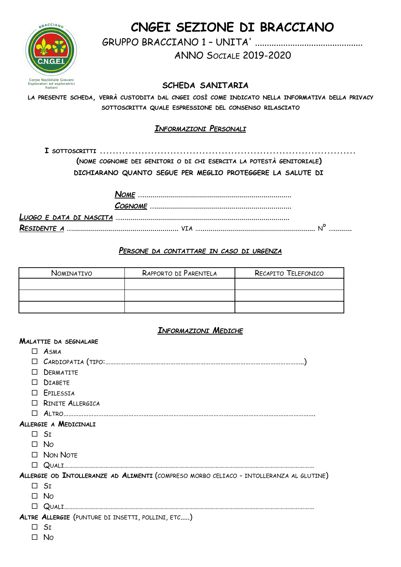

## CNGEI SEZIONE DI BRACCIANO

**ANNO SOCIALE 2019-2020** 

SCHEDA SANITARIA

LA PRESENTE SCHEDA, VERRÀ CUSTODITA DAL CNGEI COSÌ COME INDICATO NELLA INFORMATIVA DELLA PRIVACY SOTTOSCRITTA QUALE ESPRESSIONE DEL CONSENSO RILASCIATO

## **INFORMAZIONI PERSONALI**

(NOME COGNOME DEI GENITORI O DI CHI ESERCITA LA POTESTÀ GENITORIALE)

DICHIARANO QUANTO SEGUE PER MEGLIO PROTEGGERE LA SALUTE DI

## PERSONE DA CONTATTARE IN CASO DI URGENZA

| Nominativo | RAPPORTO DI PARENTELA | RECAPITO TELEFONICO |
|------------|-----------------------|---------------------|
|            |                       |                     |
|            |                       |                     |
|            |                       |                     |

## **INFORMAZIONI MEDICHE**

|        | <b>MALATTIE DA SEGNALARE</b>                                                            |
|--------|-----------------------------------------------------------------------------------------|
|        | $\Box$ ASMA                                                                             |
|        |                                                                                         |
| П      | DERMATITE                                                                               |
| П      | <b>DIABETE</b>                                                                          |
|        | $\Box$ Epilessia                                                                        |
|        | $\Box$ RINITE ALLERGICA                                                                 |
| П      |                                                                                         |
|        | ALLERGIE A MEDICINALI                                                                   |
|        | $\Box$ St                                                                               |
|        | $\Box$ No                                                                               |
|        | $\Box$ Non Note                                                                         |
| $\Box$ |                                                                                         |
|        | ALLERGIE OD INTOLLERANZE AD ALIMENTI (COMPRESO MORBO CELIACO - INTOLLERANZA AL GLUTINE) |
|        | $\Box$ Si                                                                               |
|        | $\Box$ No                                                                               |
| $\Box$ |                                                                                         |
|        | ALTRE ALLERGIE (PUNTURE DI INSETTI, POLLINI, ETC)                                       |
|        | $\Box$ Si                                                                               |
|        | No                                                                                      |